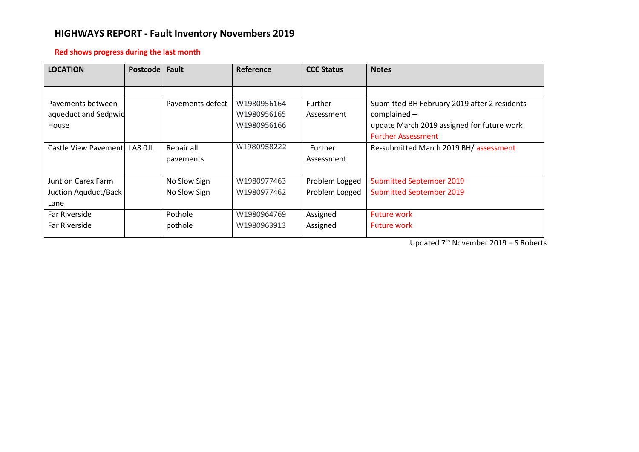# **HIGHWAYS REPORT - Fault Inventory Novembers 2019**

# **Red shows progress during the last month**

| <b>LOCATION</b>               | <b>Postcode</b> | Fault            | Reference   | <b>CCC Status</b> | <b>Notes</b>                                 |
|-------------------------------|-----------------|------------------|-------------|-------------------|----------------------------------------------|
|                               |                 |                  |             |                   |                                              |
|                               |                 |                  |             |                   |                                              |
| Pavements between             |                 | Pavements defect | W1980956164 | Further           | Submitted BH February 2019 after 2 residents |
| aqueduct and Sedgwid          |                 |                  | W1980956165 | Assessment        | complained -                                 |
| House                         |                 |                  | W1980956166 |                   | update March 2019 assigned for future work   |
|                               |                 |                  |             |                   | <b>Further Assessment</b>                    |
| Castle View Pavement: LA8 OJL |                 | Repair all       | W1980958222 | Further           | Re-submitted March 2019 BH/ assessment       |
|                               |                 | pavements        |             | Assessment        |                                              |
|                               |                 |                  |             |                   |                                              |
| <b>Juntion Carex Farm</b>     |                 | No Slow Sign     | W1980977463 | Problem Logged    | <b>Submitted September 2019</b>              |
| Juction Aquduct/Back          |                 | No Slow Sign     | W1980977462 | Problem Logged    | <b>Submitted September 2019</b>              |
| Lane                          |                 |                  |             |                   |                                              |
| Far Riverside                 |                 | Pothole          | W1980964769 | Assigned          | <b>Future work</b>                           |
| Far Riverside                 |                 | pothole          | W1980963913 | Assigned          | <b>Future work</b>                           |
|                               |                 |                  |             |                   |                                              |

Updated 7<sup>th</sup> November 2019 - S Roberts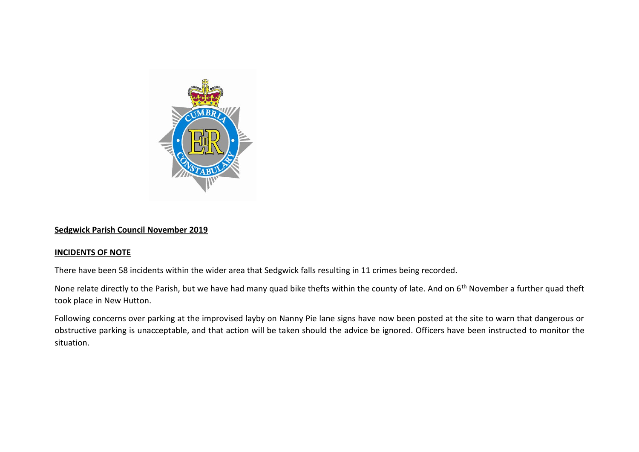

### **Sedgwick Parish Council November 2019**

#### **INCIDENTS OF NOTE**

There have been 58 incidents within the wider area that Sedgwick falls resulting in 11 crimes being recorded.

None relate directly to the Parish, but we have had many quad bike thefts within the county of late. And on 6<sup>th</sup> November a further quad theft took place in New Hutton.

Following concerns over parking at the improvised layby on Nanny Pie lane signs have now been posted at the site to warn that dangerous or obstructive parking is unacceptable, and that action will be taken should the advice be ignored. Officers have been instructed to monitor the situation.